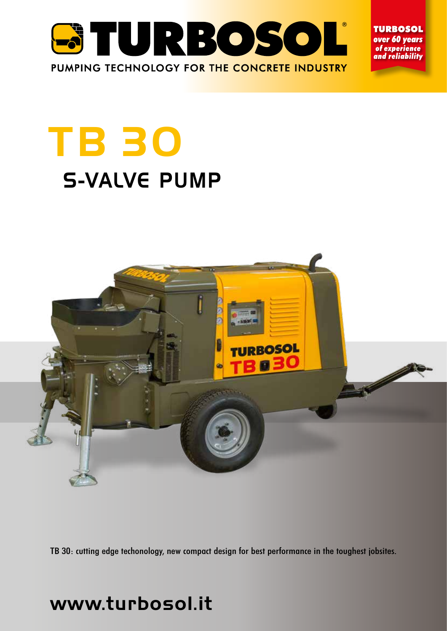

**TURBOSOL** over 60 years of experience and reliability

# TB 30 S-VALVE PUMP



TB 30: cutting edge techonology, new compact design for best performance in the toughest jobsites.

# www.turbosol.it